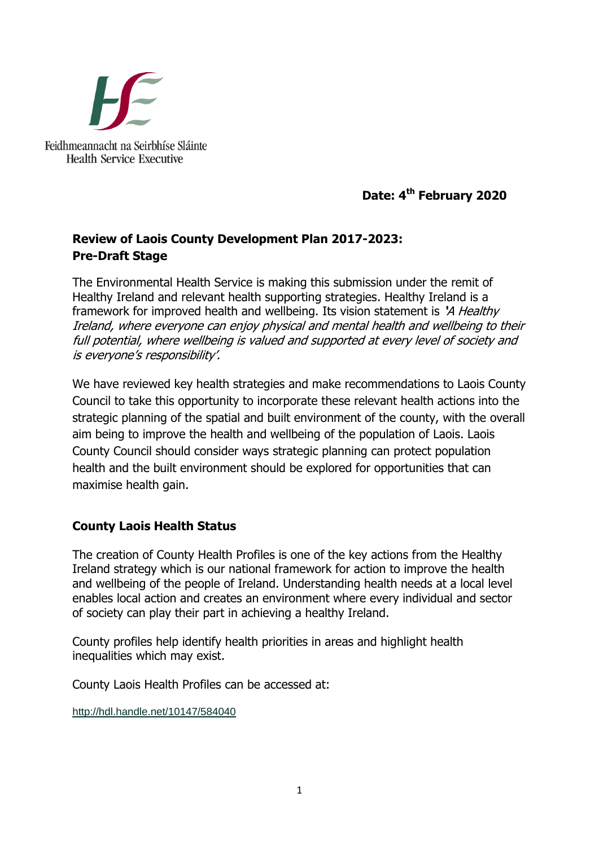

**Date: 4 th February 2020**

# **Review of Laois County Development Plan 2017-2023: Pre-Draft Stage**

The Environmental Health Service is making this submission under the remit of Healthy Ireland and relevant health supporting strategies. Healthy Ireland is a framework for improved health and wellbeing. Its vision statement is **'**A Healthy Ireland, where everyone can enjoy physical and mental health and wellbeing to their full potential, where wellbeing is valued and supported at every level of society and is everyone's responsibility'.

We have reviewed key health strategies and make recommendations to Laois County Council to take this opportunity to incorporate these relevant health actions into the strategic planning of the spatial and built environment of the county, with the overall aim being to improve the health and wellbeing of the population of Laois. Laois County Council should consider ways strategic planning can protect population health and the built environment should be explored for opportunities that can maximise health gain.

# **County Laois Health Status**

The creation of County Health Profiles is one of the key actions from the Healthy Ireland strategy which is our national framework for action to improve the health and wellbeing of the people of Ireland. Understanding health needs at a local level enables local action and creates an environment where every individual and sector of society can play their part in achieving a healthy Ireland.

County profiles help identify health priorities in areas and highlight health inequalities which may exist.

County Laois Health Profiles can be accessed at:

<http://hdl.handle.net/10147/584040>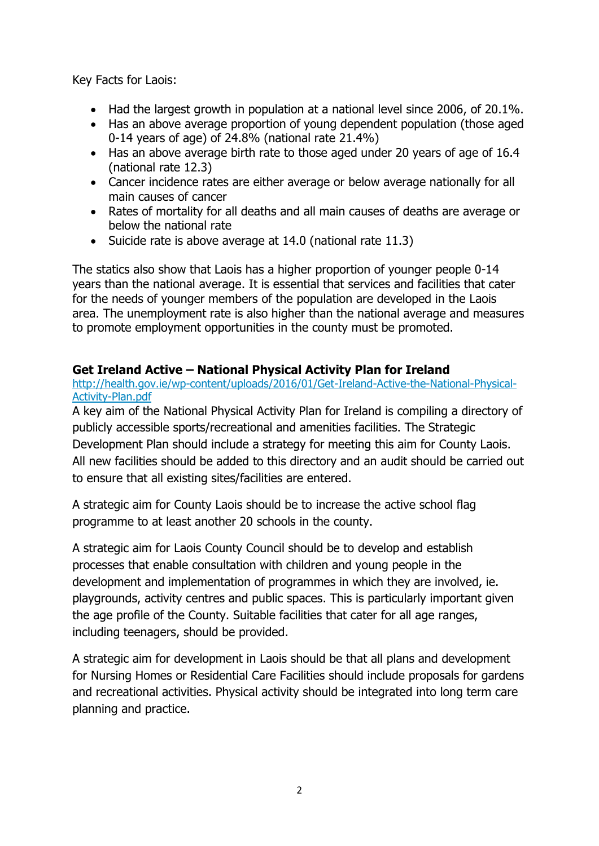Key Facts for Laois:

- Had the largest growth in population at a national level since 2006, of 20.1%.
- Has an above average proportion of young dependent population (those aged 0-14 years of age) of 24.8% (national rate 21.4%)
- Has an above average birth rate to those aged under 20 years of age of 16.4 (national rate 12.3)
- Cancer incidence rates are either average or below average nationally for all main causes of cancer
- Rates of mortality for all deaths and all main causes of deaths are average or below the national rate
- Suicide rate is above average at 14.0 (national rate 11.3)

The statics also show that Laois has a higher proportion of younger people 0-14 years than the national average. It is essential that services and facilities that cater for the needs of younger members of the population are developed in the Laois area. The unemployment rate is also higher than the national average and measures to promote employment opportunities in the county must be promoted.

# **Get Ireland Active – National Physical Activity Plan for Ireland**

[http://health.gov.ie/wp-content/uploads/2016/01/Get-Ireland-Active-the-National-Physical-](http://health.gov.ie/wp-content/uploads/2016/01/Get-Ireland-Active-the-National-Physical-Activity-Plan.pdf)[Activity-Plan.pdf](http://health.gov.ie/wp-content/uploads/2016/01/Get-Ireland-Active-the-National-Physical-Activity-Plan.pdf)

A key aim of the National Physical Activity Plan for Ireland is compiling a directory of publicly accessible sports/recreational and amenities facilities. The Strategic Development Plan should include a strategy for meeting this aim for County Laois. All new facilities should be added to this directory and an audit should be carried out to ensure that all existing sites/facilities are entered.

A strategic aim for County Laois should be to increase the active school flag programme to at least another 20 schools in the county.

A strategic aim for Laois County Council should be to develop and establish processes that enable consultation with children and young people in the development and implementation of programmes in which they are involved, ie. playgrounds, activity centres and public spaces. This is particularly important given the age profile of the County. Suitable facilities that cater for all age ranges, including teenagers, should be provided.

A strategic aim for development in Laois should be that all plans and development for Nursing Homes or Residential Care Facilities should include proposals for gardens and recreational activities. Physical activity should be integrated into long term care planning and practice.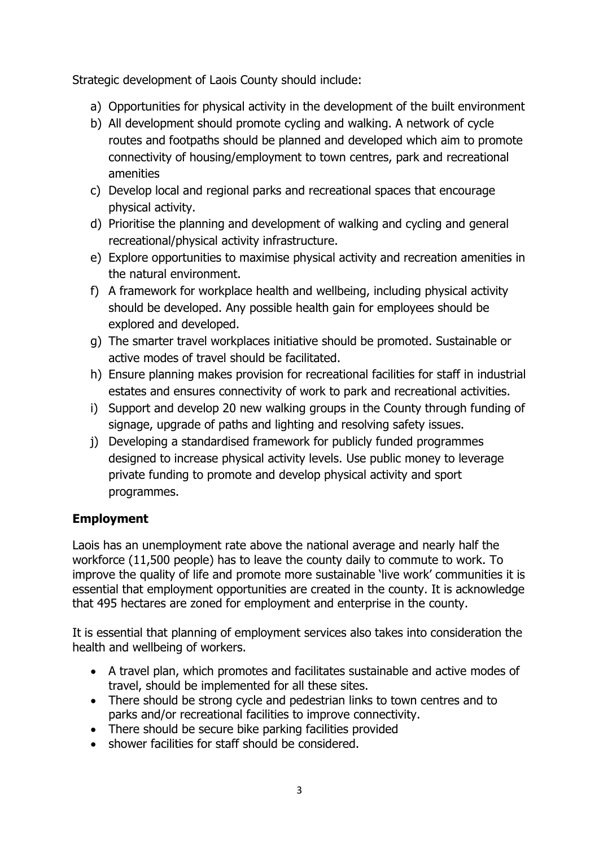Strategic development of Laois County should include:

- a) Opportunities for physical activity in the development of the built environment
- b) All development should promote cycling and walking. A network of cycle routes and footpaths should be planned and developed which aim to promote connectivity of housing/employment to town centres, park and recreational amenities
- c) Develop local and regional parks and recreational spaces that encourage physical activity.
- d) Prioritise the planning and development of walking and cycling and general recreational/physical activity infrastructure.
- e) Explore opportunities to maximise physical activity and recreation amenities in the natural environment.
- f) A framework for workplace health and wellbeing, including physical activity should be developed. Any possible health gain for employees should be explored and developed.
- g) The smarter travel workplaces initiative should be promoted. Sustainable or active modes of travel should be facilitated.
- h) Ensure planning makes provision for recreational facilities for staff in industrial estates and ensures connectivity of work to park and recreational activities.
- i) Support and develop 20 new walking groups in the County through funding of signage, upgrade of paths and lighting and resolving safety issues.
- j) Developing a standardised framework for publicly funded programmes designed to increase physical activity levels. Use public money to leverage private funding to promote and develop physical activity and sport programmes.

# **Employment**

Laois has an unemployment rate above the national average and nearly half the workforce (11,500 people) has to leave the county daily to commute to work. To improve the quality of life and promote more sustainable 'live work' communities it is essential that employment opportunities are created in the county. It is acknowledge that 495 hectares are zoned for employment and enterprise in the county.

It is essential that planning of employment services also takes into consideration the health and wellbeing of workers.

- A travel plan, which promotes and facilitates sustainable and active modes of travel, should be implemented for all these sites.
- There should be strong cycle and pedestrian links to town centres and to parks and/or recreational facilities to improve connectivity.
- There should be secure bike parking facilities provided
- shower facilities for staff should be considered.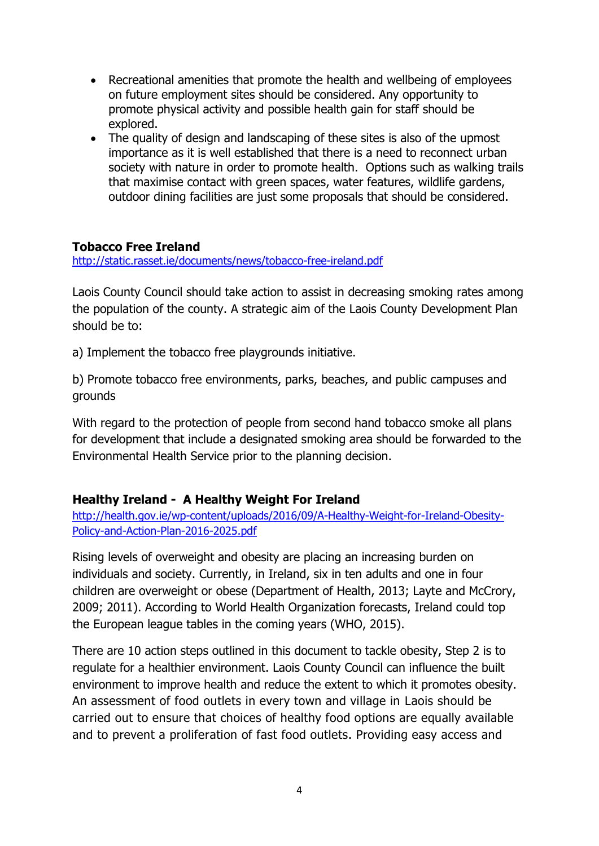- Recreational amenities that promote the health and wellbeing of employees on future employment sites should be considered. Any opportunity to promote physical activity and possible health gain for staff should be explored.
- The quality of design and landscaping of these sites is also of the upmost importance as it is well established that there is a need to reconnect urban society with nature in order to promote health. Options such as walking trails that maximise contact with green spaces, water features, wildlife gardens, outdoor dining facilities are just some proposals that should be considered.

### **Tobacco Free Ireland**

<http://static.rasset.ie/documents/news/tobacco-free-ireland.pdf>

Laois County Council should take action to assist in decreasing smoking rates among the population of the county. A strategic aim of the Laois County Development Plan should be to:

a) Implement the tobacco free playgrounds initiative.

b) Promote tobacco free environments, parks, beaches, and public campuses and grounds

With regard to the protection of people from second hand tobacco smoke all plans for development that include a designated smoking area should be forwarded to the Environmental Health Service prior to the planning decision.

## **Healthy Ireland - A Healthy Weight For Ireland**

[http://health.gov.ie/wp-content/uploads/2016/09/A-Healthy-Weight-for-Ireland-Obesity-](http://health.gov.ie/wp-content/uploads/2016/09/A-Healthy-Weight-for-Ireland-Obesity-Policy-and-Action-Plan-2016-2025.pdf)[Policy-and-Action-Plan-2016-2025.pdf](http://health.gov.ie/wp-content/uploads/2016/09/A-Healthy-Weight-for-Ireland-Obesity-Policy-and-Action-Plan-2016-2025.pdf)

Rising levels of overweight and obesity are placing an increasing burden on individuals and society. Currently, in Ireland, six in ten adults and one in four children are overweight or obese (Department of Health, 2013; Layte and McCrory, 2009; 2011). According to World Health Organization forecasts, Ireland could top the European league tables in the coming years (WHO, 2015).

There are 10 action steps outlined in this document to tackle obesity, Step 2 is to regulate for a healthier environment. Laois County Council can influence the built environment to improve health and reduce the extent to which it promotes obesity. An assessment of food outlets in every town and village in Laois should be carried out to ensure that choices of healthy food options are equally available and to prevent a proliferation of fast food outlets. Providing easy access and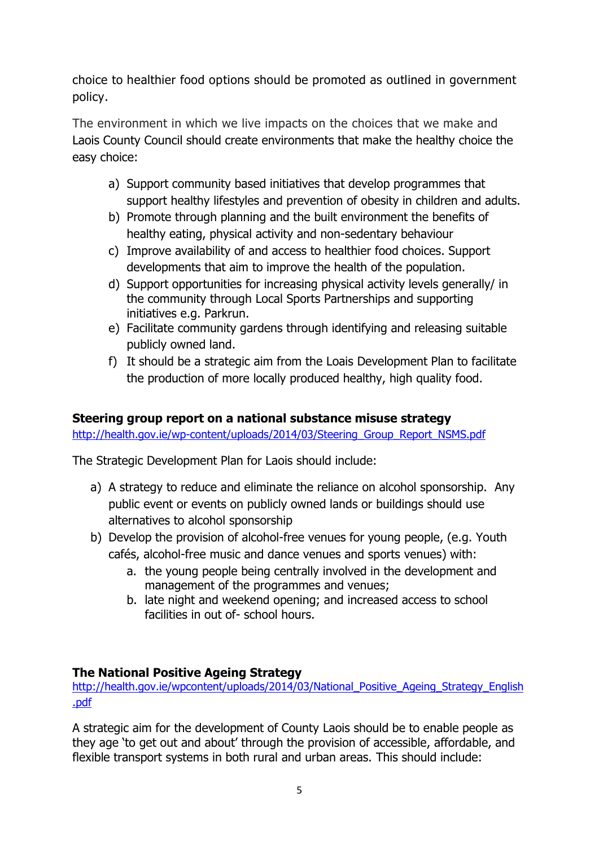choice to healthier food options should be promoted as outlined in government policy.

The environment in which we live impacts on the choices that we make and Laois County Council should create environments that make the healthy choice the easy choice:

- a) Support community based initiatives that develop programmes that support healthy lifestyles and prevention of obesity in children and adults.
- b) Promote through planning and the built environment the benefits of healthy eating, physical activity and non-sedentary behaviour
- c) Improve availability of and access to healthier food choices. Support developments that aim to improve the health of the population.
- d) Support opportunities for increasing physical activity levels generally/ in the community through Local Sports Partnerships and supporting initiatives e.g. Parkrun.
- e) Facilitate community gardens through identifying and releasing suitable publicly owned land.
- f) It should be a strategic aim from the Loais Development Plan to facilitate the production of more locally produced healthy, high quality food.

## **Steering group report on a national substance misuse strategy**

[http://health.gov.ie/wp-content/uploads/2014/03/Steering\\_Group\\_Report\\_NSMS.pdf](http://health.gov.ie/wp-content/uploads/2014/03/Steering_Group_Report_NSMS.pdf)

The Strategic Development Plan for Laois should include:

- a) A strategy to reduce and eliminate the reliance on alcohol sponsorship. Any public event or events on publicly owned lands or buildings should use alternatives to alcohol sponsorship
- b) Develop the provision of alcohol-free venues for young people, (e.g. Youth cafés, alcohol-free music and dance venues and sports venues) with:
	- a. the young people being centrally involved in the development and management of the programmes and venues;
	- b. late night and weekend opening; and increased access to school facilities in out of- school hours.

## **The National Positive Ageing Strategy**

http://health.gov.ie/wpcontent/uploads/2014/03/National Positive Ageing Strategy English [.pdf](http://health.gov.ie/wpcontent/uploads/2014/03/National_Positive_Ageing_Strategy_English.pdf)

A strategic aim for the development of County Laois should be to enable people as they age 'to get out and about' through the provision of accessible, affordable, and flexible transport systems in both rural and urban areas. This should include: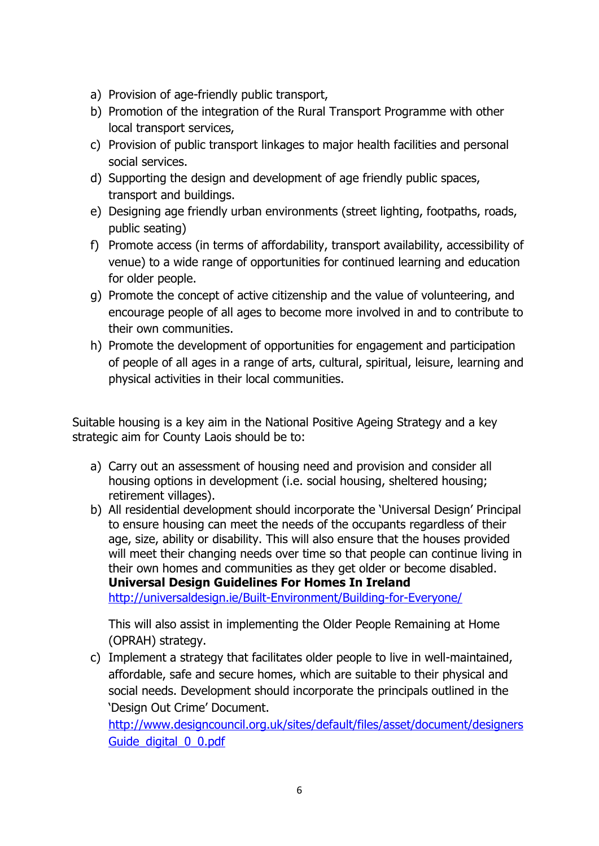- a) Provision of age-friendly public transport,
- b) Promotion of the integration of the Rural Transport Programme with other local transport services,
- c) Provision of public transport linkages to major health facilities and personal social services.
- d) Supporting the design and development of age friendly public spaces, transport and buildings.
- e) Designing age friendly urban environments (street lighting, footpaths, roads, public seating)
- f) Promote access (in terms of affordability, transport availability, accessibility of venue) to a wide range of opportunities for continued learning and education for older people.
- g) Promote the concept of active citizenship and the value of volunteering, and encourage people of all ages to become more involved in and to contribute to their own communities.
- h) Promote the development of opportunities for engagement and participation of people of all ages in a range of arts, cultural, spiritual, leisure, learning and physical activities in their local communities.

Suitable housing is a key aim in the National Positive Ageing Strategy and a key strategic aim for County Laois should be to:

- a) Carry out an assessment of housing need and provision and consider all housing options in development (i.e. social housing, sheltered housing; retirement villages).
- b) All residential development should incorporate the 'Universal Design' Principal to ensure housing can meet the needs of the occupants regardless of their age, size, ability or disability. This will also ensure that the houses provided will meet their changing needs over time so that people can continue living in their own homes and communities as they get older or become disabled. **Universal Design Guidelines For Homes In Ireland** <http://universaldesign.ie/Built-Environment/Building-for-Everyone/>

This will also assist in implementing the Older People Remaining at Home (OPRAH) strategy.

c) Implement a strategy that facilitates older people to live in well-maintained, affordable, safe and secure homes, which are suitable to their physical and social needs. Development should incorporate the principals outlined in the 'Design Out Crime' Document.

[http://www.designcouncil.org.uk/sites/default/files/asset/document/designers](http://www.designcouncil.org.uk/sites/default/files/asset/document/designersGuide_digital_0_0.pdf) Guide digital 0 0.pdf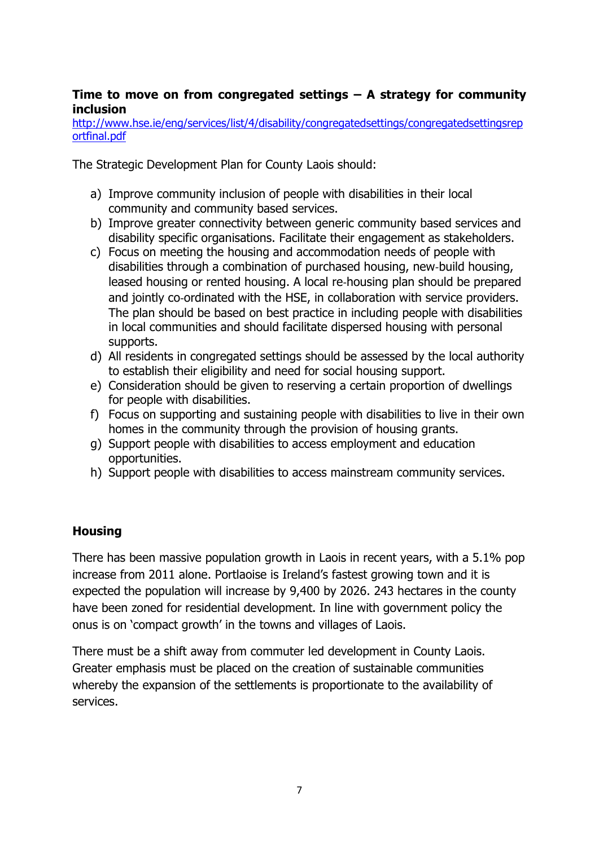#### **Time to move on from congregated settings – A strategy for community inclusion**

[http://www.hse.ie/eng/services/list/4/disability/congregatedsettings/congregatedsettingsrep](http://www.hse.ie/eng/services/list/4/disability/congregatedsettings/congregatedsettingsreportfinal.pdf) [ortfinal.pdf](http://www.hse.ie/eng/services/list/4/disability/congregatedsettings/congregatedsettingsreportfinal.pdf)

The Strategic Development Plan for County Laois should:

- a) Improve community inclusion of people with disabilities in their local community and community based services.
- b) Improve greater connectivity between generic community based services and disability specific organisations. Facilitate their engagement as stakeholders.
- c) Focus on meeting the housing and accommodation needs of people with disabilities through a combination of purchased housing, new‐build housing, leased housing or rented housing. A local re‐housing plan should be prepared and jointly co-ordinated with the HSE, in collaboration with service providers. The plan should be based on best practice in including people with disabilities in local communities and should facilitate dispersed housing with personal supports.
- d) All residents in congregated settings should be assessed by the local authority to establish their eligibility and need for social housing support.
- e) Consideration should be given to reserving a certain proportion of dwellings for people with disabilities.
- f) Focus on supporting and sustaining people with disabilities to live in their own homes in the community through the provision of housing grants.
- g) Support people with disabilities to access employment and education opportunities.
- h) Support people with disabilities to access mainstream community services.

### **Housing**

There has been massive population growth in Laois in recent years, with a 5.1% pop increase from 2011 alone. Portlaoise is Ireland's fastest growing town and it is expected the population will increase by 9,400 by 2026. 243 hectares in the county have been zoned for residential development. In line with government policy the onus is on 'compact growth' in the towns and villages of Laois.

There must be a shift away from commuter led development in County Laois. Greater emphasis must be placed on the creation of sustainable communities whereby the expansion of the settlements is proportionate to the availability of services.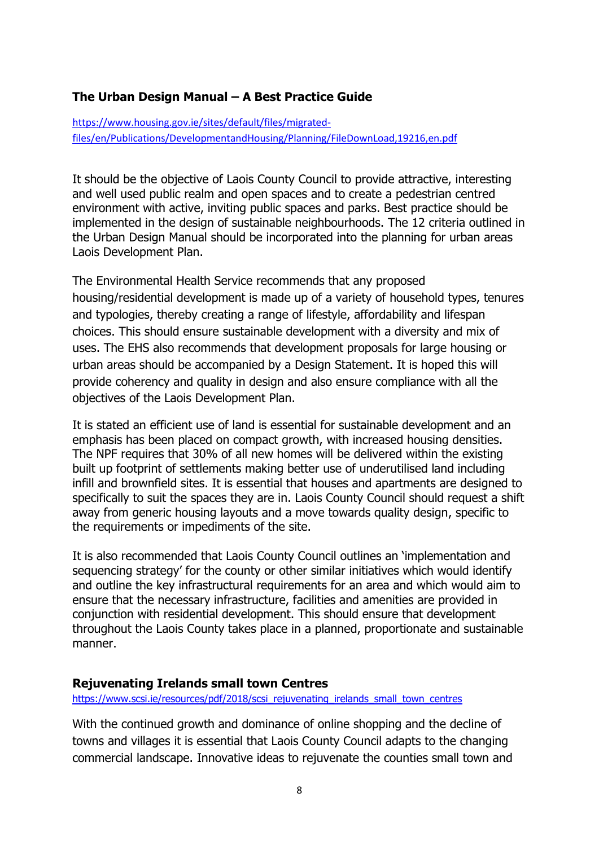### **The Urban Design Manual – A Best Practice Guide**

[https://www.housing.gov.ie/sites/default/files/migrated](https://www.housing.gov.ie/sites/default/files/migrated-files/en/Publications/DevelopmentandHousing/Planning/FileDownLoad,19216,en.pdf)[files/en/Publications/DevelopmentandHousing/Planning/FileDownLoad,19216,en.pdf](https://www.housing.gov.ie/sites/default/files/migrated-files/en/Publications/DevelopmentandHousing/Planning/FileDownLoad,19216,en.pdf)

It should be the objective of Laois County Council to provide attractive, interesting and well used public realm and open spaces and to create a pedestrian centred environment with active, inviting public spaces and parks. Best practice should be implemented in the design of sustainable neighbourhoods. The 12 criteria outlined in the Urban Design Manual should be incorporated into the planning for urban areas Laois Development Plan.

The Environmental Health Service recommends that any proposed housing/residential development is made up of a variety of household types, tenures and typologies, thereby creating a range of lifestyle, affordability and lifespan choices. This should ensure sustainable development with a diversity and mix of uses. The EHS also recommends that development proposals for large housing or urban areas should be accompanied by a Design Statement. It is hoped this will provide coherency and quality in design and also ensure compliance with all the objectives of the Laois Development Plan.

It is stated an efficient use of land is essential for sustainable development and an emphasis has been placed on compact growth, with increased housing densities. The NPF requires that 30% of all new homes will be delivered within the existing built up footprint of settlements making better use of underutilised land including infill and brownfield sites. It is essential that houses and apartments are designed to specifically to suit the spaces they are in. Laois County Council should request a shift away from generic housing layouts and a move towards quality design, specific to the requirements or impediments of the site.

It is also recommended that Laois County Council outlines an 'implementation and sequencing strategy' for the county or other similar initiatives which would identify and outline the key infrastructural requirements for an area and which would aim to ensure that the necessary infrastructure, facilities and amenities are provided in conjunction with residential development. This should ensure that development throughout the Laois County takes place in a planned, proportionate and sustainable manner.

#### **Rejuvenating Irelands small town Centres**

[https://www.scsi.ie/resources/pdf/2018/scsi\\_rejuvenating\\_irelands\\_small\\_town\\_centres](https://www.scsi.ie/resources/pdf/2018/scsi_rejuvenating_irelands_small_town_centres)

With the continued growth and dominance of online shopping and the decline of towns and villages it is essential that Laois County Council adapts to the changing commercial landscape. Innovative ideas to rejuvenate the counties small town and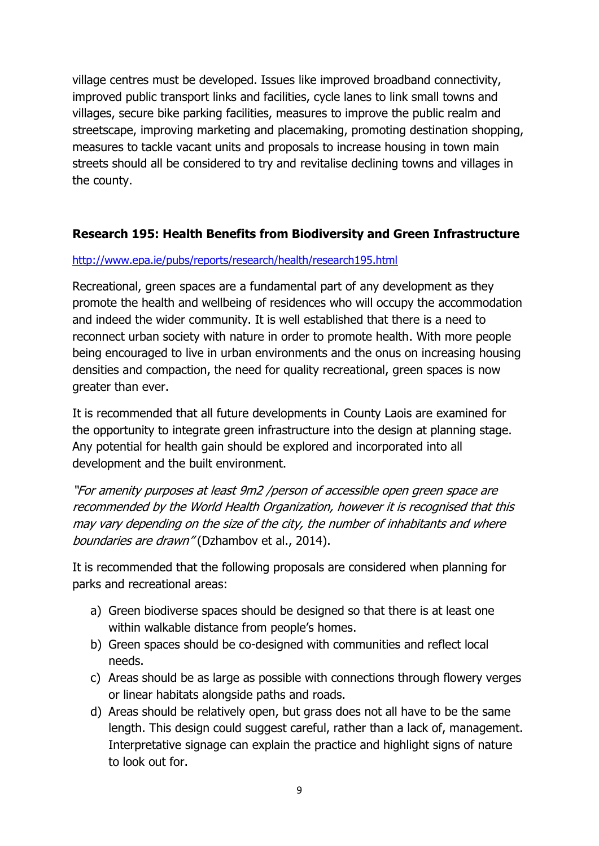village centres must be developed. Issues like improved broadband connectivity, improved public transport links and facilities, cycle lanes to link small towns and villages, secure bike parking facilities, measures to improve the public realm and streetscape, improving marketing and placemaking, promoting destination shopping, measures to tackle vacant units and proposals to increase housing in town main streets should all be considered to try and revitalise declining towns and villages in the county.

### **Research 195: Health Benefits from Biodiversity and Green Infrastructure**

#### <http://www.epa.ie/pubs/reports/research/health/research195.html>

Recreational, green spaces are a fundamental part of any development as they promote the health and wellbeing of residences who will occupy the accommodation and indeed the wider community. It is well established that there is a need to reconnect urban society with nature in order to promote health. With more people being encouraged to live in urban environments and the onus on increasing housing densities and compaction, the need for quality recreational, green spaces is now greater than ever.

It is recommended that all future developments in County Laois are examined for the opportunity to integrate green infrastructure into the design at planning stage. Any potential for health gain should be explored and incorporated into all development and the built environment.

"For amenity purposes at least 9m2 /person of accessible open green space are recommended by the World Health Organization, however it is recognised that this may vary depending on the size of the city, the number of inhabitants and where boundaries are drawn" (Dzhambov et al., 2014).

It is recommended that the following proposals are considered when planning for parks and recreational areas:

- a) Green biodiverse spaces should be designed so that there is at least one within walkable distance from people's homes.
- b) Green spaces should be co-designed with communities and reflect local needs.
- c) Areas should be as large as possible with connections through flowery verges or linear habitats alongside paths and roads.
- d) Areas should be relatively open, but grass does not all have to be the same length. This design could suggest careful, rather than a lack of, management. Interpretative signage can explain the practice and highlight signs of nature to look out for.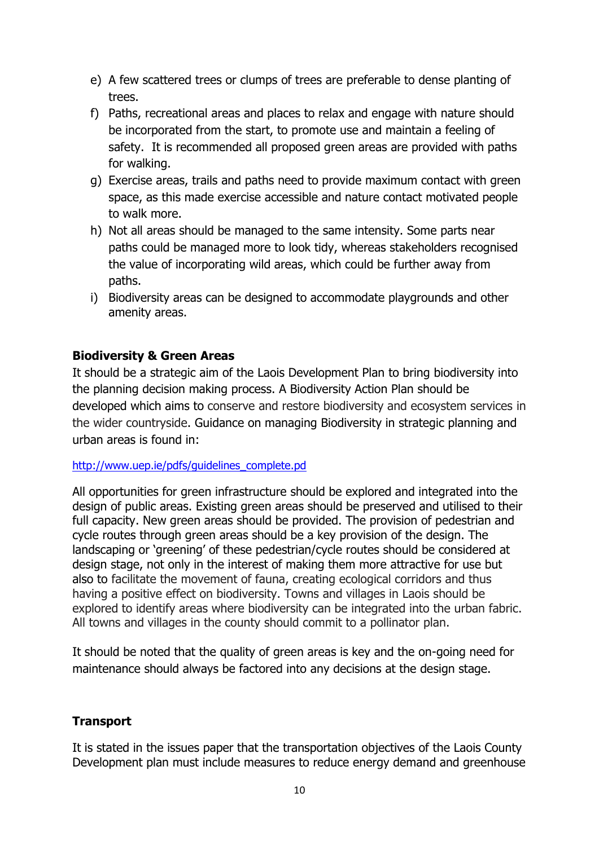- e) A few scattered trees or clumps of trees are preferable to dense planting of trees.
- f) Paths, recreational areas and places to relax and engage with nature should be incorporated from the start, to promote use and maintain a feeling of safety. It is recommended all proposed green areas are provided with paths for walking.
- g) Exercise areas, trails and paths need to provide maximum contact with green space, as this made exercise accessible and nature contact motivated people to walk more.
- h) Not all areas should be managed to the same intensity. Some parts near paths could be managed more to look tidy, whereas stakeholders recognised the value of incorporating wild areas, which could be further away from paths.
- i) Biodiversity areas can be designed to accommodate playgrounds and other amenity areas.

### **Biodiversity & Green Areas**

It should be a strategic aim of the Laois Development Plan to bring biodiversity into the planning decision making process. A Biodiversity Action Plan should be developed which aims to conserve and restore biodiversity and ecosystem services in the wider countryside. Guidance on managing Biodiversity in strategic planning and urban areas is found in:

#### [http://www.uep.ie/pdfs/guidelines\\_complete.pd](http://www.uep.ie/pdfs/guidelines_complete.pd)

All opportunities for green infrastructure should be explored and integrated into the design of public areas. Existing green areas should be preserved and utilised to their full capacity. New green areas should be provided. The provision of pedestrian and cycle routes through green areas should be a key provision of the design. The landscaping or 'greening' of these pedestrian/cycle routes should be considered at design stage, not only in the interest of making them more attractive for use but also to facilitate the movement of fauna, creating ecological corridors and thus having a positive effect on biodiversity. Towns and villages in Laois should be explored to identify areas where biodiversity can be integrated into the urban fabric. All towns and villages in the county should commit to a pollinator plan.

It should be noted that the quality of green areas is key and the on-going need for maintenance should always be factored into any decisions at the design stage.

## **Transport**

It is stated in the issues paper that the transportation objectives of the Laois County Development plan must include measures to reduce energy demand and greenhouse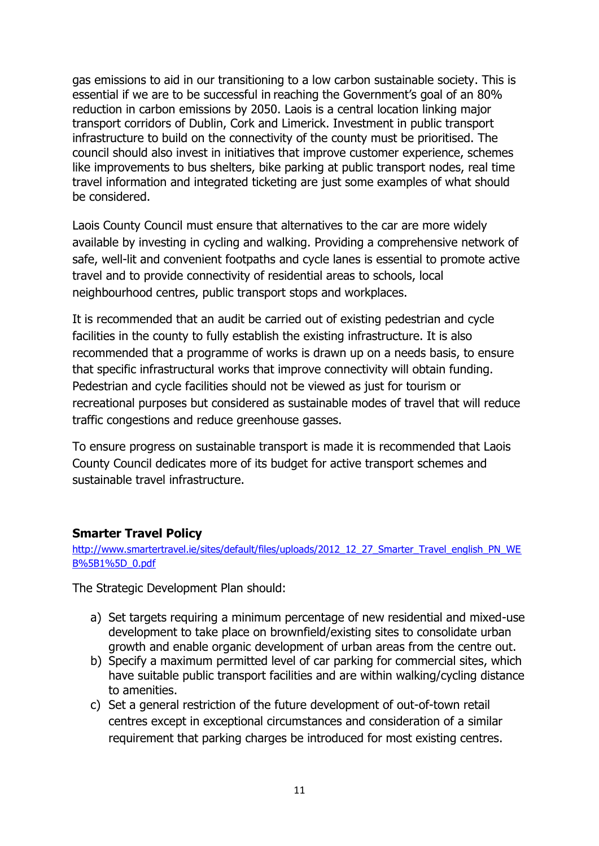gas emissions to aid in our transitioning to a low carbon sustainable society. This is essential if we are to be successful in reaching the Government's goal of an 80% reduction in carbon emissions by 2050. Laois is a central location linking major transport corridors of Dublin, Cork and Limerick. Investment in public transport infrastructure to build on the connectivity of the county must be prioritised. The council should also invest in initiatives that improve customer experience, schemes like improvements to bus shelters, bike parking at public transport nodes, real time travel information and integrated ticketing are just some examples of what should be considered.

Laois County Council must ensure that alternatives to the car are more widely available by investing in cycling and walking. Providing a comprehensive network of safe, well-lit and convenient footpaths and cycle lanes is essential to promote active travel and to provide connectivity of residential areas to schools, local neighbourhood centres, public transport stops and workplaces.

It is recommended that an audit be carried out of existing pedestrian and cycle facilities in the county to fully establish the existing infrastructure. It is also recommended that a programme of works is drawn up on a needs basis, to ensure that specific infrastructural works that improve connectivity will obtain funding. Pedestrian and cycle facilities should not be viewed as just for tourism or recreational purposes but considered as sustainable modes of travel that will reduce traffic congestions and reduce greenhouse gasses.

To ensure progress on sustainable transport is made it is recommended that Laois County Council dedicates more of its budget for active transport schemes and sustainable travel infrastructure.

### **Smarter Travel Policy**

[http://www.smartertravel.ie/sites/default/files/uploads/2012\\_12\\_27\\_Smarter\\_Travel\\_english\\_PN\\_WE](http://www.smartertravel.ie/sites/default/files/uploads/2012_12_27_Smarter_Travel_english_PN_WEB%5B1%5D_0.pdf) [B%5B1%5D\\_0.pdf](http://www.smartertravel.ie/sites/default/files/uploads/2012_12_27_Smarter_Travel_english_PN_WEB%5B1%5D_0.pdf)

The Strategic Development Plan should:

- a) Set targets requiring a minimum percentage of new residential and mixed-use development to take place on brownfield/existing sites to consolidate urban growth and enable organic development of urban areas from the centre out.
- b) Specify a maximum permitted level of car parking for commercial sites, which have suitable public transport facilities and are within walking/cycling distance to amenities.
- c) Set a general restriction of the future development of out-of-town retail centres except in exceptional circumstances and consideration of a similar requirement that parking charges be introduced for most existing centres.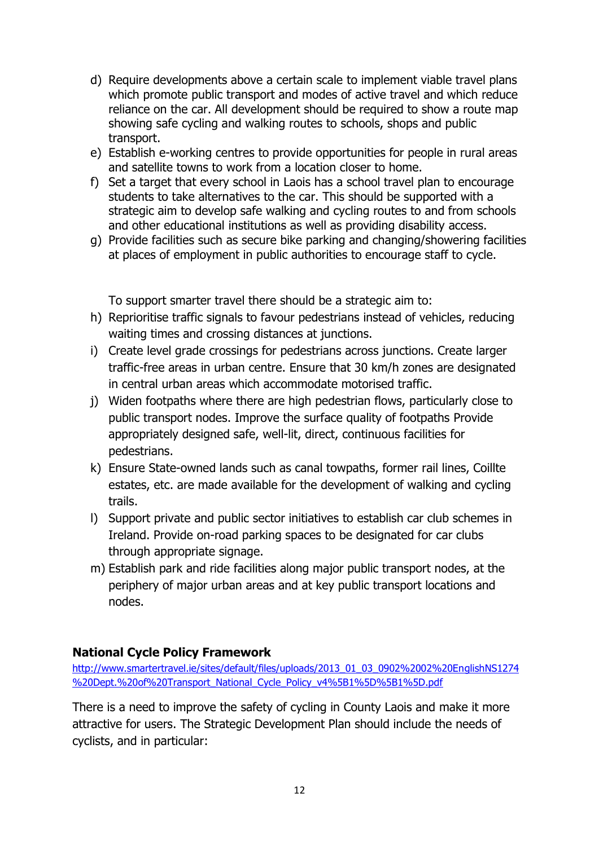- d) Require developments above a certain scale to implement viable travel plans which promote public transport and modes of active travel and which reduce reliance on the car. All development should be required to show a route map showing safe cycling and walking routes to schools, shops and public transport.
- e) Establish e-working centres to provide opportunities for people in rural areas and satellite towns to work from a location closer to home.
- f) Set a target that every school in Laois has a school travel plan to encourage students to take alternatives to the car. This should be supported with a strategic aim to develop safe walking and cycling routes to and from schools and other educational institutions as well as providing disability access.
- g) Provide facilities such as secure bike parking and changing/showering facilities at places of employment in public authorities to encourage staff to cycle.

To support smarter travel there should be a strategic aim to:

- h) Reprioritise traffic signals to favour pedestrians instead of vehicles, reducing waiting times and crossing distances at junctions.
- i) Create level grade crossings for pedestrians across junctions. Create larger traffic-free areas in urban centre. Ensure that 30 km/h zones are designated in central urban areas which accommodate motorised traffic.
- j) Widen footpaths where there are high pedestrian flows, particularly close to public transport nodes. Improve the surface quality of footpaths Provide appropriately designed safe, well-lit, direct, continuous facilities for pedestrians.
- k) Ensure State-owned lands such as canal towpaths, former rail lines, Coillte estates, etc. are made available for the development of walking and cycling trails.
- l) Support private and public sector initiatives to establish car club schemes in Ireland. Provide on-road parking spaces to be designated for car clubs through appropriate signage.
- m) Establish park and ride facilities along major public transport nodes, at the periphery of major urban areas and at key public transport locations and nodes.

## **National Cycle Policy Framework**

[http://www.smartertravel.ie/sites/default/files/uploads/2013\\_01\\_03\\_0902%2002%20EnglishNS1274](http://www.smartertravel.ie/sites/default/files/uploads/2013_01_03_0902%2002%20EnglishNS1274%20Dept.%20of%20Transport_National_Cycle_Policy_v4%5B1%5D%5B1%5D.pdf) [%20Dept.%20of%20Transport\\_National\\_Cycle\\_Policy\\_v4%5B1%5D%5B1%5D.pdf](http://www.smartertravel.ie/sites/default/files/uploads/2013_01_03_0902%2002%20EnglishNS1274%20Dept.%20of%20Transport_National_Cycle_Policy_v4%5B1%5D%5B1%5D.pdf)

There is a need to improve the safety of cycling in County Laois and make it more attractive for users. The Strategic Development Plan should include the needs of cyclists, and in particular: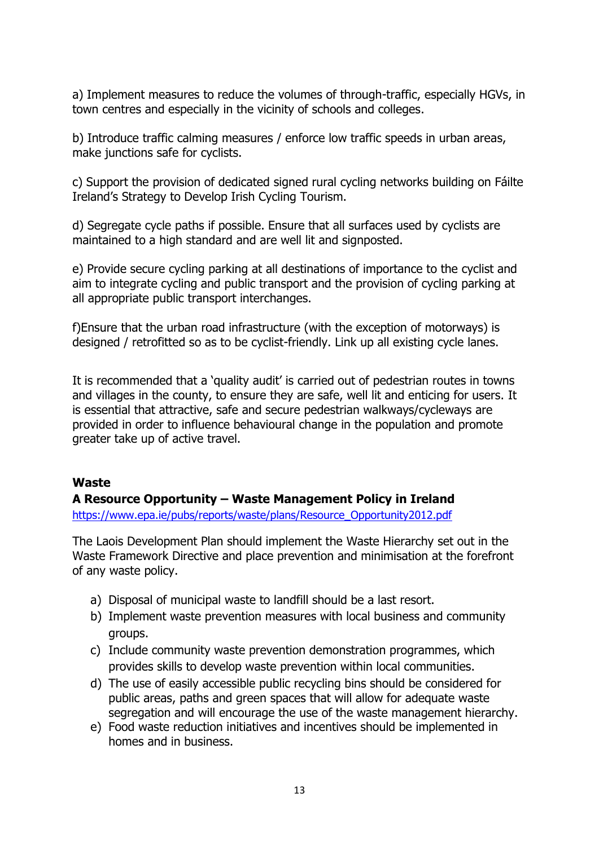a) Implement measures to reduce the volumes of through-traffic, especially HGVs, in town centres and especially in the vicinity of schools and colleges.

b) Introduce traffic calming measures / enforce low traffic speeds in urban areas, make junctions safe for cyclists.

c) Support the provision of dedicated signed rural cycling networks building on Fáilte Ireland's Strategy to Develop Irish Cycling Tourism.

d) Segregate cycle paths if possible. Ensure that all surfaces used by cyclists are maintained to a high standard and are well lit and signposted.

e) Provide secure cycling parking at all destinations of importance to the cyclist and aim to integrate cycling and public transport and the provision of cycling parking at all appropriate public transport interchanges.

f)Ensure that the urban road infrastructure (with the exception of motorways) is designed / retrofitted so as to be cyclist-friendly. Link up all existing cycle lanes.

It is recommended that a 'quality audit' is carried out of pedestrian routes in towns and villages in the county, to ensure they are safe, well lit and enticing for users. It is essential that attractive, safe and secure pedestrian walkways/cycleways are provided in order to influence behavioural change in the population and promote greater take up of active travel.

### **Waste**

### **A Resource Opportunity – Waste Management Policy in Ireland**

[https://www.epa.ie/pubs/reports/waste/plans/Resource\\_Opportunity2012.pdf](https://www.epa.ie/pubs/reports/waste/plans/Resource_Opportunity2012.pdf)

The Laois Development Plan should implement the Waste Hierarchy set out in the Waste Framework Directive and place prevention and minimisation at the forefront of any waste policy.

- a) Disposal of municipal waste to landfill should be a last resort.
- b) Implement waste prevention measures with local business and community groups.
- c) Include community waste prevention demonstration programmes, which provides skills to develop waste prevention within local communities.
- d) The use of easily accessible public recycling bins should be considered for public areas, paths and green spaces that will allow for adequate waste segregation and will encourage the use of the waste management hierarchy.
- e) Food waste reduction initiatives and incentives should be implemented in homes and in business.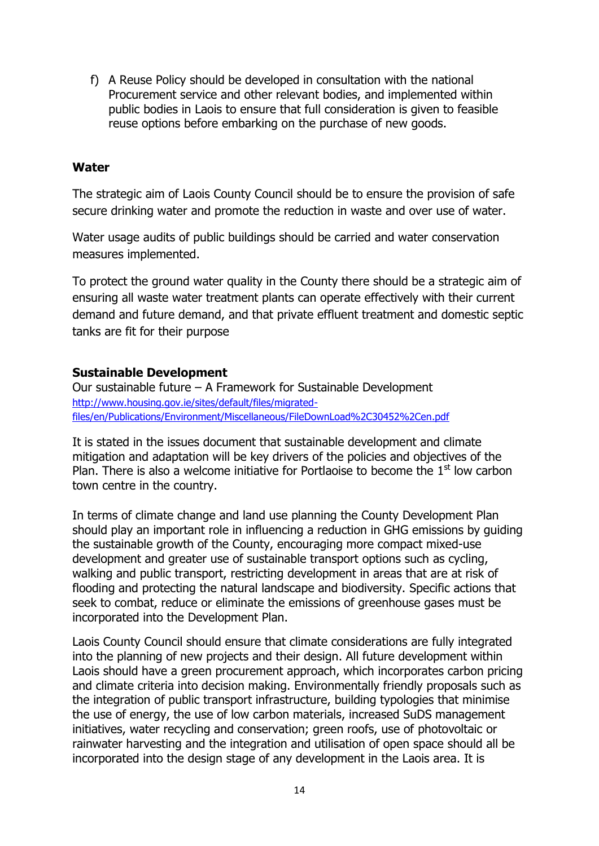f) A Reuse Policy should be developed in consultation with the national Procurement service and other relevant bodies, and implemented within public bodies in Laois to ensure that full consideration is given to feasible reuse options before embarking on the purchase of new goods.

#### **Water**

The strategic aim of Laois County Council should be to ensure the provision of safe secure drinking water and promote the reduction in waste and over use of water.

Water usage audits of public buildings should be carried and water conservation measures implemented.

To protect the ground water quality in the County there should be a strategic aim of ensuring all waste water treatment plants can operate effectively with their current demand and future demand, and that private effluent treatment and domestic septic tanks are fit for their purpose

### **Sustainable Development**

Our sustainable future – A Framework for Sustainable Development [http://www.housing.gov.ie/sites/default/files/migrated](http://www.housing.gov.ie/sites/default/files/migrated-files/en/Publications/Environment/Miscellaneous/FileDownLoad%2C30452%2Cen.pdf)[files/en/Publications/Environment/Miscellaneous/FileDownLoad%2C30452%2Cen.pdf](http://www.housing.gov.ie/sites/default/files/migrated-files/en/Publications/Environment/Miscellaneous/FileDownLoad%2C30452%2Cen.pdf)

It is stated in the issues document that sustainable development and climate mitigation and adaptation will be key drivers of the policies and objectives of the Plan. There is also a welcome initiative for Portlaoise to become the  $1<sup>st</sup>$  low carbon town centre in the country.

In terms of climate change and land use planning the County Development Plan should play an important role in influencing a reduction in GHG emissions by guiding the sustainable growth of the County, encouraging more compact mixed-use development and greater use of sustainable transport options such as cycling, walking and public transport, restricting development in areas that are at risk of flooding and protecting the natural landscape and biodiversity. Specific actions that seek to combat, reduce or eliminate the emissions of greenhouse gases must be incorporated into the Development Plan.

Laois County Council should ensure that climate considerations are fully integrated into the planning of new projects and their design. All future development within Laois should have a green procurement approach, which incorporates carbon pricing and climate criteria into decision making. Environmentally friendly proposals such as the integration of public transport infrastructure, building typologies that minimise the use of energy, the use of low carbon materials, increased SuDS management initiatives, water recycling and conservation; green roofs, use of photovoltaic or rainwater harvesting and the integration and utilisation of open space should all be incorporated into the design stage of any development in the Laois area. It is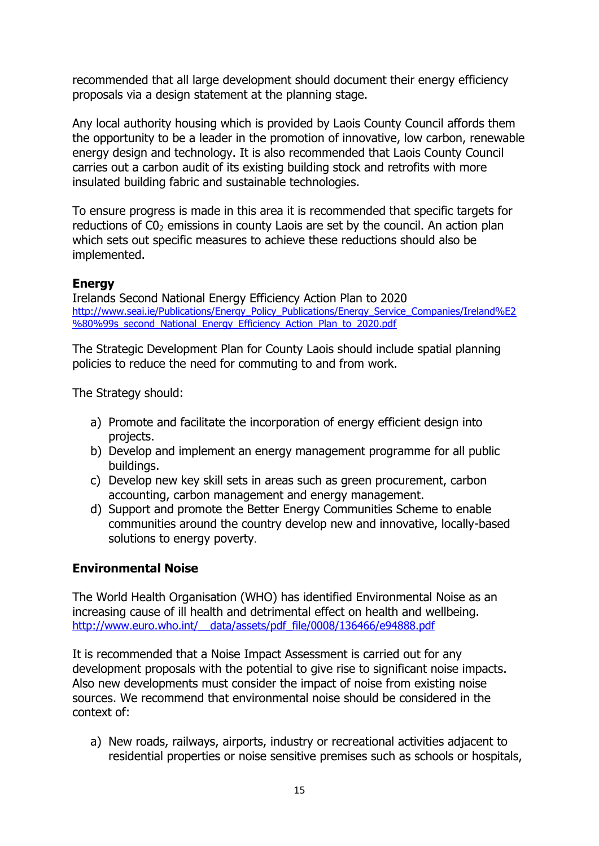recommended that all large development should document their energy efficiency proposals via a design statement at the planning stage.

Any local authority housing which is provided by Laois County Council affords them the opportunity to be a leader in the promotion of innovative, low carbon, renewable energy design and technology. It is also recommended that Laois County Council carries out a carbon audit of its existing building stock and retrofits with more insulated building fabric and sustainable technologies.

To ensure progress is made in this area it is recommended that specific targets for reductions of  $CO<sub>2</sub>$  emissions in county Laois are set by the council. An action plan which sets out specific measures to achieve these reductions should also be implemented.

### **Energy**

Irelands Second National Energy Efficiency Action Plan to 2020 [http://www.seai.ie/Publications/Energy\\_Policy\\_Publications/Energy\\_Service\\_Companies/Ireland%E2](http://www.seai.ie/Publications/Energy_Policy_Publications/Energy_Service_Companies/Ireland%E2%80%99s_second_National_Energy_Efficiency_Action_Plan_to_2020.pdf) [%80%99s\\_second\\_National\\_Energy\\_Efficiency\\_Action\\_Plan\\_to\\_2020.pdf](http://www.seai.ie/Publications/Energy_Policy_Publications/Energy_Service_Companies/Ireland%E2%80%99s_second_National_Energy_Efficiency_Action_Plan_to_2020.pdf)

The Strategic Development Plan for County Laois should include spatial planning policies to reduce the need for commuting to and from work.

The Strategy should:

- a) Promote and facilitate the incorporation of energy efficient design into projects.
- b) Develop and implement an energy management programme for all public buildings.
- c) Develop new key skill sets in areas such as green procurement, carbon accounting, carbon management and energy management.
- d) Support and promote the Better Energy Communities Scheme to enable communities around the country develop new and innovative, locally-based solutions to energy poverty.

### **Environmental Noise**

The World Health Organisation (WHO) has identified Environmental Noise as an increasing cause of ill health and detrimental effect on health and wellbeing. http://www.euro.who.int/ data/assets/pdf\_file/0008/136466/e94888.pdf

It is recommended that a Noise Impact Assessment is carried out for any development proposals with the potential to give rise to significant noise impacts. Also new developments must consider the impact of noise from existing noise sources. We recommend that environmental noise should be considered in the context of:

a) New roads, railways, airports, industry or recreational activities adjacent to residential properties or noise sensitive premises such as schools or hospitals,